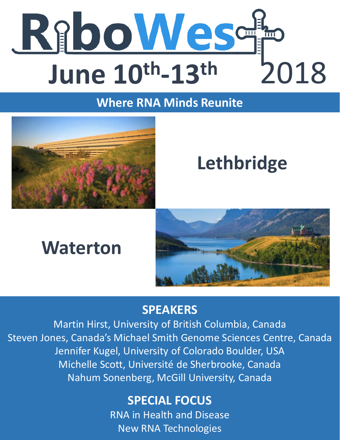

# **Where RNA Minds Reunite**



# **Lethbridge**

# **Waterton**



# **SPEAKERS**

Martin Hirst, University of British Columbia, Canada Steven Jones, Canada's Michael Smith Genome Sciences Centre, Canada Jennifer Kugel, University of Colorado Boulder, USA Michelle Scott, Université de Sherbrooke, Canada Nahum Sonenberg, McGill University, Canada

# **SPECIAL FOCUS**

RNA in Health and Disease New RNA Technologies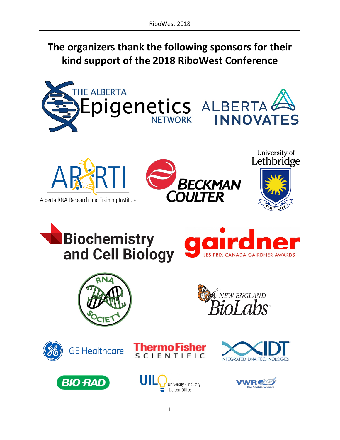# **The organizers thank the following sponsors for their kind support of the 2018 RiboWest Conference**





**RFCKMAN COULTER** 





















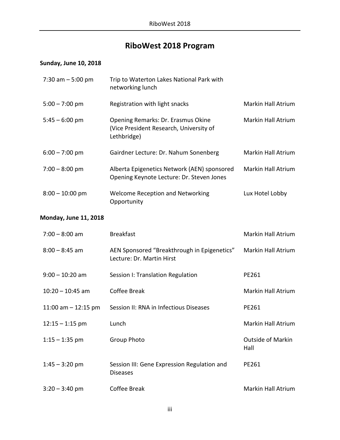# **RiboWest 2018 Program**

## **Sunday, June 10, 2018**

| 7:30 am $-5:00$ pm           | Trip to Waterton Lakes National Park with<br>networking lunch                                |                    |
|------------------------------|----------------------------------------------------------------------------------------------|--------------------|
| $5:00 - 7:00$ pm             | Registration with light snacks                                                               | Markin Hall Atrium |
| $5:45 - 6:00$ pm             | Opening Remarks: Dr. Erasmus Okine<br>(Vice President Research, University of<br>Lethbridge) | Markin Hall Atrium |
| $6:00 - 7:00$ pm             | Gairdner Lecture: Dr. Nahum Sonenberg                                                        | Markin Hall Atrium |
| $7:00 - 8:00$ pm             | Alberta Epigenetics Network (AEN) sponsored<br>Opening Keynote Lecture: Dr. Steven Jones     | Markin Hall Atrium |
| $8:00 - 10:00$ pm            | <b>Welcome Reception and Networking</b><br>Opportunity                                       | Lux Hotel Lobby    |
| <b>Monday, June 11, 2018</b> |                                                                                              |                    |

| $7:00 - 8:00$ am      | <b>Breakfast</b>                                                         | <b>Markin Hall Atrium</b>        |
|-----------------------|--------------------------------------------------------------------------|----------------------------------|
| $8:00 - 8:45$ am      | AEN Sponsored "Breakthrough in Epigenetics"<br>Lecture: Dr. Martin Hirst | Markin Hall Atrium               |
| $9:00 - 10:20$ am     | Session I: Translation Regulation                                        | PE261                            |
| $10:20 - 10:45$ am    | Coffee Break                                                             | <b>Markin Hall Atrium</b>        |
| 11:00 am $-$ 12:15 pm | Session II: RNA in Infectious Diseases                                   | PE261                            |
| $12:15 - 1:15$ pm     | Lunch                                                                    | <b>Markin Hall Atrium</b>        |
| $1:15 - 1:35$ pm      | <b>Group Photo</b>                                                       | <b>Outside of Markin</b><br>Hall |
| $1:45 - 3:20$ pm      | Session III: Gene Expression Regulation and<br><b>Diseases</b>           | PE261                            |
| $3:20 - 3:40$ pm      | Coffee Break                                                             | <b>Markin Hall Atrium</b>        |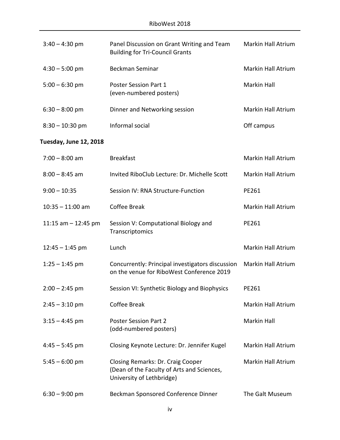| $3:40 - 4:30$ pm  | Panel Discussion on Grant Writing and Team<br><b>Building for Tri-Council Grants</b> | Markin Hall Atrium |
|-------------------|--------------------------------------------------------------------------------------|--------------------|
| $4:30 - 5:00$ pm  | Beckman Seminar                                                                      | Markin Hall Atrium |
| $5:00 - 6:30$ pm  | <b>Poster Session Part 1</b><br>(even-numbered posters)                              | Markin Hall        |
| $6:30 - 8:00$ pm  | Dinner and Networking session                                                        | Markin Hall Atrium |
| $8:30 - 10:30$ pm | Informal social                                                                      | Off campus         |

## **Tuesday, June 12, 2018**

| $7:00 - 8:00$ am      | <b>Breakfast</b>                                                                                             | Markin Hall Atrium        |
|-----------------------|--------------------------------------------------------------------------------------------------------------|---------------------------|
| $8:00 - 8:45$ am      | Invited RiboClub Lecture: Dr. Michelle Scott                                                                 | <b>Markin Hall Atrium</b> |
| $9:00 - 10:35$        | Session IV: RNA Structure-Function                                                                           | PE261                     |
| $10:35 - 11:00$ am    | Coffee Break                                                                                                 | <b>Markin Hall Atrium</b> |
| 11:15 am $-$ 12:45 pm | Session V: Computational Biology and<br>Transcriptomics                                                      | PE261                     |
| $12:45 - 1:45$ pm     | Lunch                                                                                                        | <b>Markin Hall Atrium</b> |
| $1:25 - 1:45$ pm      | Concurrently: Principal investigators discussion<br>on the venue for RiboWest Conference 2019                | Markin Hall Atrium        |
| $2:00 - 2:45$ pm      | Session VI: Synthetic Biology and Biophysics                                                                 | PE261                     |
| $2:45 - 3:10$ pm      | Coffee Break                                                                                                 | Markin Hall Atrium        |
| $3:15 - 4:45$ pm      | <b>Poster Session Part 2</b><br>(odd-numbered posters)                                                       | <b>Markin Hall</b>        |
| $4:45 - 5:45$ pm      | Closing Keynote Lecture: Dr. Jennifer Kugel                                                                  | Markin Hall Atrium        |
| $5:45 - 6:00$ pm      | Closing Remarks: Dr. Craig Cooper<br>(Dean of the Faculty of Arts and Sciences,<br>University of Lethbridge) | <b>Markin Hall Atrium</b> |
| $6:30 - 9:00$ pm      | Beckman Sponsored Conference Dinner                                                                          | The Galt Museum           |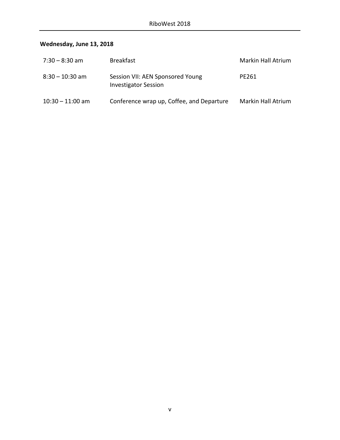# **Wednesday, June 13, 2018**

| 7:30 - 8:30 am     | <b>Breakfast</b>                                                | Markin Hall Atrium |
|--------------------|-----------------------------------------------------------------|--------------------|
| $8:30 - 10:30$ am  | Session VII: AEN Sponsored Young<br><b>Investigator Session</b> | PE261              |
| $10:30 - 11:00$ am | Conference wrap up, Coffee, and Departure                       | Markin Hall Atrium |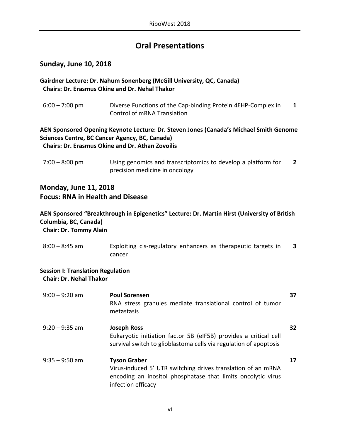# **Oral Presentations**

## **Sunday, June 10, 2018**

### **Gairdner Lecture: Dr. Nahum Sonenberg (McGill University, QC, Canada) Chairs: Dr. Erasmus Okine and Dr. Nehal Thakor**

6:00 – 7:00 pm Diverse Functions of the Cap-binding Protein 4EHP-Complex in Control of mRNA Translation **1**

#### **AEN Sponsored Opening Keynote Lecture: Dr. Steven Jones (Canada's Michael Smith Genome Sciences Centre, BC Cancer Agency, BC, Canada) Chairs: Dr. Erasmus Okine and Dr. Athan Zovoilis**

7:00 – 8:00 pm Using genomics and transcriptomics to develop a platform for precision medicine in oncology **2**

## **Monday, June 11, 2018 Focus: RNA in Health and Disease**

### **AEN Sponsored "Breakthrough in Epigenetics" Lecture: Dr. Martin Hirst (University of British Columbia, BC, Canada) Chair: Dr. Tommy Alain**

8:00 – 8:45 am Exploiting cis-regulatory enhancers as therapeutic targets in cancer **3**

#### **Session I: Translation Regulation**

 **Chair: Dr. Nehal Thakor**

| $9:00 - 9:20$ am | <b>Poul Sorensen</b><br>RNA stress granules mediate translational control of tumor<br>metastasis                                                                          | 37 |
|------------------|---------------------------------------------------------------------------------------------------------------------------------------------------------------------------|----|
| $9:20 - 9:35$ am | <b>Joseph Ross</b><br>Eukaryotic initiation factor 5B (eIF5B) provides a critical cell<br>survival switch to glioblastoma cells via regulation of apoptosis               | 32 |
| $9:35 - 9:50$ am | <b>Tyson Graber</b><br>Virus-induced 5' UTR switching drives translation of an mRNA<br>encoding an inositol phosphatase that limits oncolytic virus<br>infection efficacy | 17 |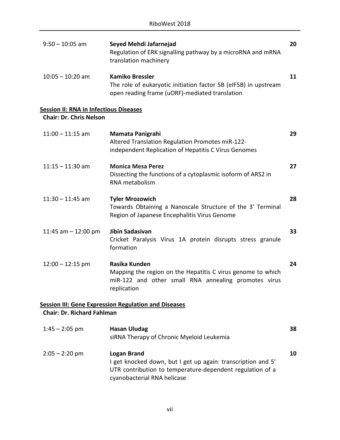| $9:50 - 10:05$ am                                                               | Seyed Mehdi Jafarnejad<br>Regulation of ERK signalling pathway by a microRNA and mRNA<br>translation machinery                                                                 | 20 |
|---------------------------------------------------------------------------------|--------------------------------------------------------------------------------------------------------------------------------------------------------------------------------|----|
| $10:05 - 10:20$ am                                                              | <b>Kamiko Bressler</b><br>The role of eukaryotic initiation factor 5B (eIF5B) in upstream<br>open reading frame (uORF)-mediated translation                                    | 11 |
| <b>Session II: RNA in Infectious Diseases</b><br><b>Chair: Dr. Chris Nelson</b> |                                                                                                                                                                                |    |
|                                                                                 |                                                                                                                                                                                |    |
| $11:00 - 11:15$ am                                                              | Mamata Panigrahi<br>Altered Translation Regulation Promotes miR-122-<br>independent Replication of Hepatitis C Virus Genomes                                                   | 29 |
| $11:15 - 11:30$ am                                                              | <b>Monica Mesa Perez</b><br>Dissecting the functions of a cytoplasmic isoform of ARS2 in<br>RNA metabolism                                                                     | 27 |
| $11:30 - 11:45$ am                                                              | <b>Tyler Mrozowich</b><br>Towards Obtaining a Nanoscale Structure of the 3' Terminal<br>Region of Japanese Encephalitis Virus Genome                                           | 28 |
| 11:45 am $-$ 12:00 pm                                                           | Jibin Sadasivan<br>Cricket Paralysis Virus 1A protein disrupts stress granule<br>formation                                                                                     | 33 |
| $12:00 - 12:15$ pm                                                              | Rasika Kunden<br>Mapping the region on the Hepatitis C virus genome to which<br>miR-122 and other small RNA annealing promotes virus<br>replication                            | 24 |
|                                                                                 | <b>Session III: Gene Expression Regulation and Diseases</b>                                                                                                                    |    |
| <b>Chair: Dr. Richard Fahlman</b>                                               |                                                                                                                                                                                |    |
| $1:45 - 2:05$ pm                                                                | <b>Hasan Uludag</b><br>siRNA Therapy of Chronic Myeloid Leukemia                                                                                                               | 38 |
| $2:05 - 2:20$ pm                                                                | <b>Logan Brand</b><br>I get knocked down, but I get up again: transcription and 5'<br>UTR contribution to temperature-dependent regulation of a<br>cyanobacterial RNA helicase | 10 |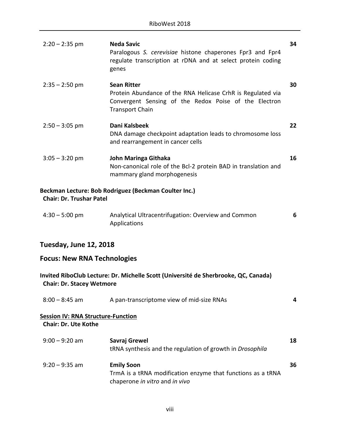| $2:20 - 2:35$ pm                                                         | <b>Neda Savic</b><br>Paralogous S. cerevisiae histone chaperones Fpr3 and Fpr4<br>regulate transcription at rDNA and at select protein coding<br>genes               | 34 |
|--------------------------------------------------------------------------|----------------------------------------------------------------------------------------------------------------------------------------------------------------------|----|
| $2:35 - 2:50$ pm                                                         | <b>Sean Ritter</b><br>Protein Abundance of the RNA Helicase CrhR is Regulated via<br>Convergent Sensing of the Redox Poise of the Electron<br><b>Transport Chain</b> | 30 |
| $2:50 - 3:05$ pm                                                         | Dani Kalsbeek<br>DNA damage checkpoint adaptation leads to chromosome loss<br>and rearrangement in cancer cells                                                      | 22 |
| $3:05 - 3:20$ pm                                                         | John Maringa Githaka<br>Non-canonical role of the Bcl-2 protein BAD in translation and<br>mammary gland morphogenesis                                                | 16 |
| <b>Chair: Dr. Trushar Patel</b>                                          | Beckman Lecture: Bob Rodriguez (Beckman Coulter Inc.)                                                                                                                |    |
| $4:30 - 5:00$ pm                                                         | Analytical Ultracentrifugation: Overview and Common<br>Applications                                                                                                  | 6  |
| Tuesday, June 12, 2018                                                   |                                                                                                                                                                      |    |
| <b>Focus: New RNA Technologies</b>                                       |                                                                                                                                                                      |    |
| <b>Chair: Dr. Stacey Wetmore</b>                                         | Invited RiboClub Lecture: Dr. Michelle Scott (Université de Sherbrooke, QC, Canada)                                                                                  |    |
| $8:00 - 8:45$ am                                                         | A pan-transcriptome view of mid-size RNAs                                                                                                                            | 4  |
| <b>Session IV: RNA Structure-Function</b><br><b>Chair: Dr. Ute Kothe</b> |                                                                                                                                                                      |    |
| $9:00 - 9:20$ am                                                         | Savraj Grewel<br>tRNA synthesis and the regulation of growth in Drosophila                                                                                           | 18 |
| $9:20 - 9:35$ am                                                         | <b>Emily Soon</b><br>TrmA is a tRNA modification enzyme that functions as a tRNA<br>chaperone in vitro and in vivo                                                   | 36 |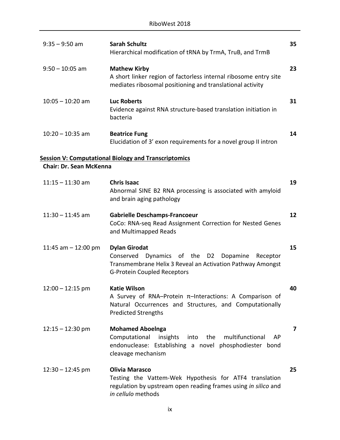| $9:35 - 9:50$ am               | <b>Sarah Schultz</b><br>Hierarchical modification of tRNA by TrmA, TruB, and TrmB                                                                                                | 35 |
|--------------------------------|----------------------------------------------------------------------------------------------------------------------------------------------------------------------------------|----|
| $9:50 - 10:05$ am              | <b>Mathew Kirby</b><br>A short linker region of factorless internal ribosome entry site<br>mediates ribosomal positioning and translational activity                             | 23 |
| $10:05 - 10:20$ am             | <b>Luc Roberts</b><br>Evidence against RNA structure-based translation initiation in<br>bacteria                                                                                 | 31 |
| $10:20 - 10:35$ am             | <b>Beatrice Fung</b><br>Elucidation of 3' exon requirements for a novel group II intron                                                                                          | 14 |
|                                | <b>Session V: Computational Biology and Transcriptomics</b>                                                                                                                      |    |
| <b>Chair: Dr. Sean McKenna</b> |                                                                                                                                                                                  |    |
| $11:15 - 11:30$ am             | <b>Chris Isaac</b><br>Abnormal SINE B2 RNA processing is associated with amyloid<br>and brain aging pathology                                                                    | 19 |
| $11:30 - 11:45$ am             | <b>Gabrielle Deschamps-Francoeur</b><br>CoCo: RNA-seq Read Assignment Correction for Nested Genes<br>and Multimapped Reads                                                       | 12 |
| 11:45 am $-$ 12:00 pm          | <b>Dylan Girodat</b><br>Conserved<br>Dynamics of the D2 Dopamine<br>Receptor<br>Transmembrane Helix 3 Reveal an Activation Pathway Amongst<br><b>G-Protein Coupled Receptors</b> | 15 |
| $12:00 - 12:15$ pm             | <b>Katie Wilson</b><br>A Survey of RNA-Protein $\pi$ -Interactions: A Comparison of<br>Natural Occurrences and Structures, and Computationally<br><b>Predicted Strengths</b>     | 40 |
| $12:15 - 12:30$ pm             | <b>Mohamed Aboelnga</b><br>Computational<br>the<br>multifunctional<br>AP<br>insights<br>into<br>endonuclease: Establishing a novel phosphodiester bond<br>cleavage mechanism     | 7  |
| $12:30 - 12:45$ pm             | <b>Olivia Marasco</b><br>Testing the Vattem-Wek Hypothesis for ATF4 translation<br>regulation by upstream open reading frames using in silico and<br>in cellulo methods          | 25 |